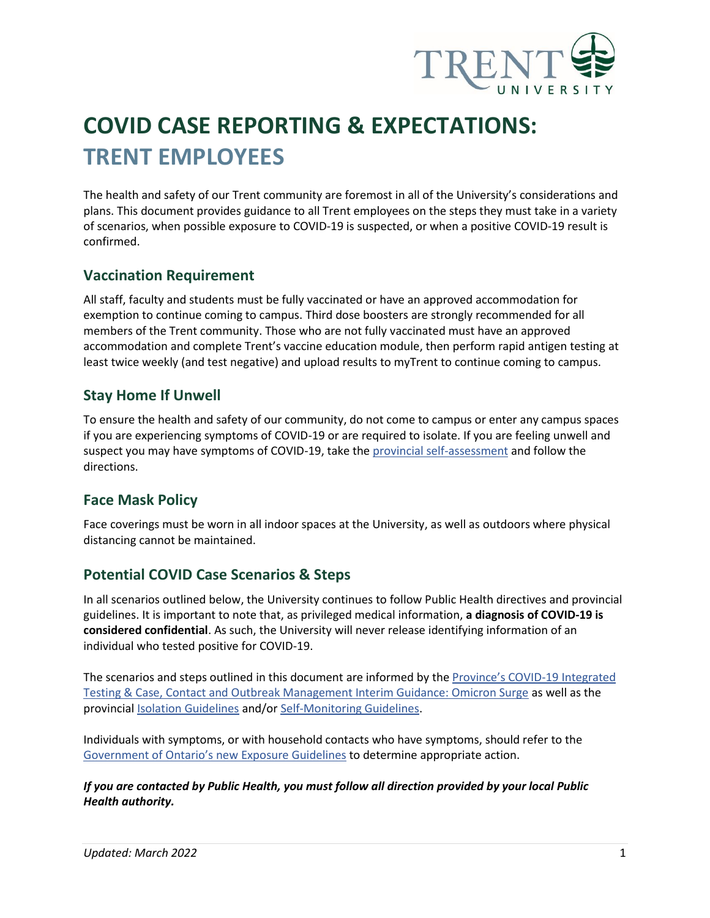

# **COVID CASE REPORTING & EXPECTATIONS: TRENT EMPLOYEES**

The health and safety of our Trent community are foremost in all of the University's considerations and plans. This document provides guidance to all Trent employees on the steps they must take in a variety of scenarios, when possible exposure to COVID-19 is suspected, or when a positive COVID-19 result is confirmed.

## **Vaccination Requirement**

All staff, faculty and students must be fully vaccinated or have an approved accommodation for exemption to continue coming to campus. Third dose boosters are strongly recommended for all members of the Trent community. Those who are not fully vaccinated must have an approved accommodation and complete Trent's vaccine education module, then perform rapid antigen testing at least twice weekly (and test negative) and upload results to myTrent to continue coming to campus.

## **Stay Home If Unwell**

To ensure the health and safety of our community, do not come to campus or enter any campus spaces if you are experiencing symptoms of COVID-19 or are required to isolate. If you are feeling unwell and suspect you may have symptoms of COVID-19, take th[e provincial self-assessment](https://covid-19.ontario.ca/self-assessment/) and follow the directions.

## **Face Mask Policy**

Face coverings must be worn in all indoor spaces at the University, as well as outdoors where physical distancing cannot be maintained.

## **Potential COVID Case Scenarios & Steps**

In all scenarios outlined below, the University continues to follow Public Health directives and provincial guidelines. It is important to note that, as privileged medical information, **a diagnosis of COVID-19 is considered confidential**. As such, the University will never release identifying information of an individual who tested positive for COVID-19.

The scenarios and steps outlined in this document are informed by the [Province's COVID](https://www.health.gov.on.ca/en/pro/programs/publichealth/coronavirus/docs/contact_mngmt/management_cases_contacts_omicron.pdf)-19 Integrated [Testing & Case, Contact and Outbreak Management Interim Guidance: Omicron Surge](https://www.health.gov.on.ca/en/pro/programs/publichealth/coronavirus/docs/contact_mngmt/management_cases_contacts_omicron.pdf) as well as the provincial [Isolation Guidelines](https://www.publichealthontario.ca/-/media/documents/ncov/factsheet-covid-19-how-to-self-isolate.pdf?la=en) and/or [Self-Monitoring Guidelines.](https://www.publichealthontario.ca/-/media/documents/ncov/factsheet-covid-19-self-monitor.pdf?la=en)

Individuals with symptoms, or with household contacts who have symptoms, should refer to the Government of Ontario's new [Exposure Guidelines](https://covid-19.ontario.ca/exposed) to determine appropriate action.

*If you are contacted by Public Health, you must follow all direction provided by your local Public Health authority.*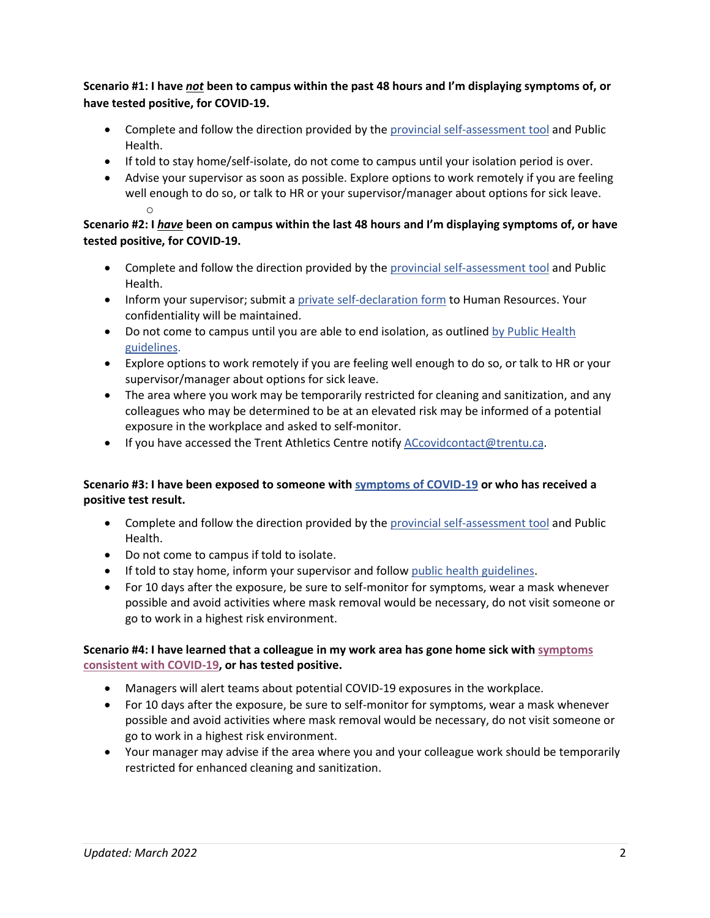#### **Scenario #1: I have** *not* **been to campus within the past 48 hours and I'm displaying symptoms of, or have tested positive, for COVID-19.**

- Complete and follow the direction provided by th[e provincial self-assessment tool](https://covid-19.ontario.ca/self-assessment/) and Public Health.
- If told to stay home/self-isolate, do not come to campus until your isolation period is over.
- Advise your supervisor as soon as possible. Explore options to work remotely if you are feeling well enough to do so, or talk to HR or your supervisor/manager about options for sick leave. o

#### **Scenario #2: I** *have* **been on campus within the last 48 hours and I'm displaying symptoms of, or have tested positive, for COVID-19.**

- Complete and follow the direction provided by th[e provincial self-assessment tool](https://covid-19.ontario.ca/self-assessment/) and Public Health.
- Inform your supervisor; submit a [private self-declaration form](https://trentu.qualtrics.com/jfe/form/SV_bfHECbogFn8M0ex) to Human Resources. Your confidentiality will be maintained.
- Do not come to campus until you are able to end isolation, as outlined b[y Public Health](https://covid-19.ontario.ca/exposed?utm_source=mobile-app-organic&utm_medium=referral&utm_campaign=covid-alert-mobile-app-english&utm_content=covidalertapppage-text#step-one:-confirm-if-you-need-to-isolate)  [guidelines.](https://covid-19.ontario.ca/exposed?utm_source=mobile-app-organic&utm_medium=referral&utm_campaign=covid-alert-mobile-app-english&utm_content=covidalertapppage-text#step-one:-confirm-if-you-need-to-isolate)
- Explore options to work remotely if you are feeling well enough to do so, or talk to HR or your supervisor/manager about options for sick leave.
- The area where you work may be temporarily restricted for cleaning and sanitization, and any colleagues who may be determined to be at an elevated risk may be informed of a potential exposure in the workplace and asked to self-monitor.
- If you have accessed the Trent Athletics Centre notify [ACcovidcontact@trentu.ca.](mailto:ACcovidcontact@trentu.ca)

#### **Scenario #3: I have bee[n exposed to someone with symptoms of COVID-19](https://www.health.gov.on.ca/en/pro/programs/publichealth/coronavirus/docs/2019_reference_doc_symptoms.pdf) or who has received a positive test result.**

- Complete and follow the direction provided by th[e provincial self-assessment tool](https://covid-19.ontario.ca/self-assessment/) and Public Health.
- Do not come to campus if told to isolate.
- If told to stay home, inform your supervisor and follow [public health guidelines.](https://covid-19.ontario.ca/exposed?utm_source=mobile-app-organic&utm_medium=referral&utm_campaign=covid-alert-mobile-app-english&utm_content=covidalertapppage-text#exposed)
- For 10 days after the exposure, be sure to self-monitor for symptoms, wear a mask whenever possible and avoid activities where mask removal would be necessary, do not visit someone or go to work in a highest risk environment.

#### **Scenario #4: I have learned that a colleague in my work area has gone home sick with [symptoms](https://www.health.gov.on.ca/en/pro/programs/publichealth/coronavirus/docs/2019_reference_doc_symptoms.pdf)  [consistent with COVID-19,](https://www.health.gov.on.ca/en/pro/programs/publichealth/coronavirus/docs/2019_reference_doc_symptoms.pdf) or has tested positive.**

- Managers will alert teams about potential COVID-19 exposures in the workplace.
- For 10 days after the exposure, be sure to self-monitor for symptoms, wear a mask whenever possible and avoid activities where mask removal would be necessary, do not visit someone or go to work in a highest risk environment.
- Your manager may advise if the area where you and your colleague work should be temporarily restricted for enhanced cleaning and sanitization.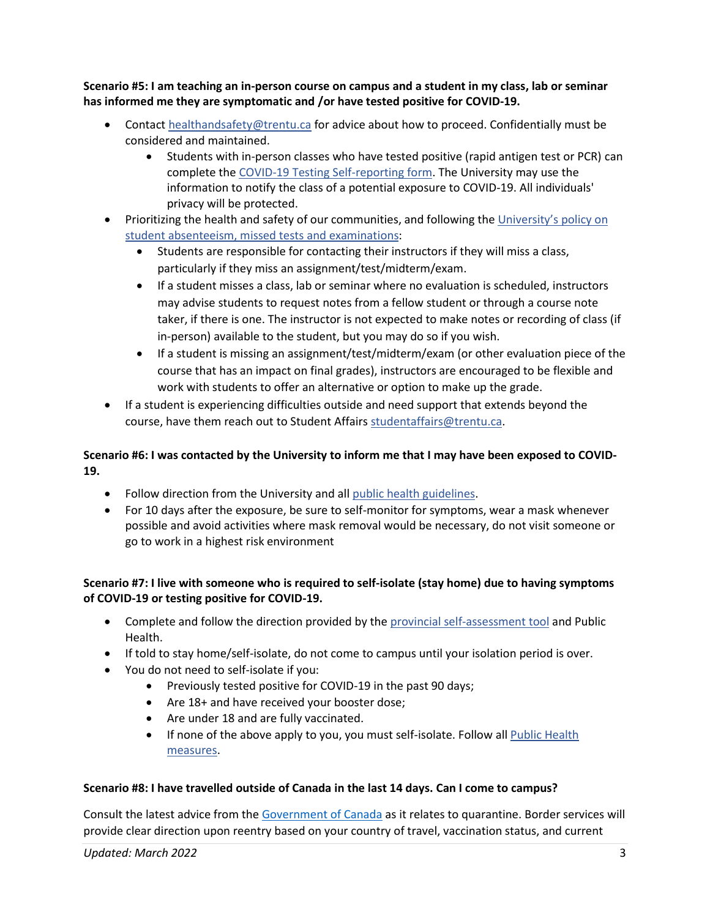**Scenario #5: I am teaching an in-person course on campus and a student in my class, lab or seminar has informed me they are symptomatic and /or have tested positive for COVID-19.**

- Contact [healthandsafety@trentu.ca](mailto:healthandsafety@trentu.ca.) for advice about how to proceed. Confidentially must be considered and maintained.
	- Students with in-person classes who have tested positive (rapid antigen test or PCR) can complete the [COVID-19 Testing Self-reporting form.](https://trentu.qualtrics.com/jfe/form/SV_brWed33fEjWqtUy) The University may use the information to notify the class of a potential exposure to COVID-19. All individuals' privacy will be protected.
- Prioritizing the health and safety of our communities, and following the [University's policy on](https://www.trentu.ca/governance/sites/trentu.ca.governance/files/documents/Policy%20on%20Student%20Absenteeism,%20Missed%20Tests%20and%20Examinations%20(2021-04-20).pdf)  [student absenteeism, missed tests and examinations:](https://www.trentu.ca/governance/sites/trentu.ca.governance/files/documents/Policy%20on%20Student%20Absenteeism,%20Missed%20Tests%20and%20Examinations%20(2021-04-20).pdf)
	- Students are responsible for contacting their instructors if they will miss a class, particularly if they miss an assignment/test/midterm/exam.
	- If a student misses a class, lab or seminar where no evaluation is scheduled, instructors may advise students to request notes from a fellow student or through a course note taker, if there is one. The instructor is not expected to make notes or recording of class (if in-person) available to the student, but you may do so if you wish.
	- If a student is missing an assignment/test/midterm/exam (or other evaluation piece of the course that has an impact on final grades), instructors are encouraged to be flexible and work with students to offer an alternative or option to make up the grade.
- If a student is experiencing difficulties outside and need support that extends beyond the course, have them reach out to Student Affair[s studentaffairs@trentu.ca.](mailto:studentaffairs@trentu.ca)

#### **Scenario #6: I was contacted by the University to inform me that I may have been exposed to COVID-19.**

- Follow direction from the University and all [public health guidelines.](https://covid-19.ontario.ca/exposed?utm_source=mobile-app-organic&utm_medium=referral&utm_campaign=covid-alert-mobile-app-english&utm_content=covidalertapppage-text#exposed)
- For 10 days after the exposure, be sure to self-monitor for symptoms, wear a mask whenever possible and avoid activities where mask removal would be necessary, do not visit someone or go to work in a highest risk environment

#### **Scenario #7: I live with someone who is required to self-isolate (stay home) due to having symptoms of COVID-19 or testing positive for COVID-19.**

- Complete and follow the direction provided by th[e provincial self-assessment tool](https://covid-19.ontario.ca/self-assessment/) and Public Health.
- If told to stay home/self-isolate, do not come to campus until your isolation period is over.
- You do not need to self-isolate if you:
	- Previously tested positive for COVID-19 in the past 90 days;
		- Are 18+ and have received your booster dose;
		- Are under 18 and are fully vaccinated.
		- If none of the above apply to you, you must self-isolate. Follow all [Public Health](https://covid-19.ontario.ca/exposed?utm_source=mobile-app-organic&utm_medium=referral&utm_campaign=covid-alert-mobile-app-english&utm_content=covidalertapppage-text#exposed)  [measures.](https://covid-19.ontario.ca/exposed?utm_source=mobile-app-organic&utm_medium=referral&utm_campaign=covid-alert-mobile-app-english&utm_content=covidalertapppage-text#exposed)

#### **Scenario #8: I have travelled outside of Canada in the last 14 days. Can I come to campus?**

Consult the latest advice from the [Government of Canada](https://travel.gc.ca/travel-covid/travel-restrictions/isolation) as it relates to quarantine. Border services will provide clear direction upon reentry based on your country of travel, vaccination status, and current